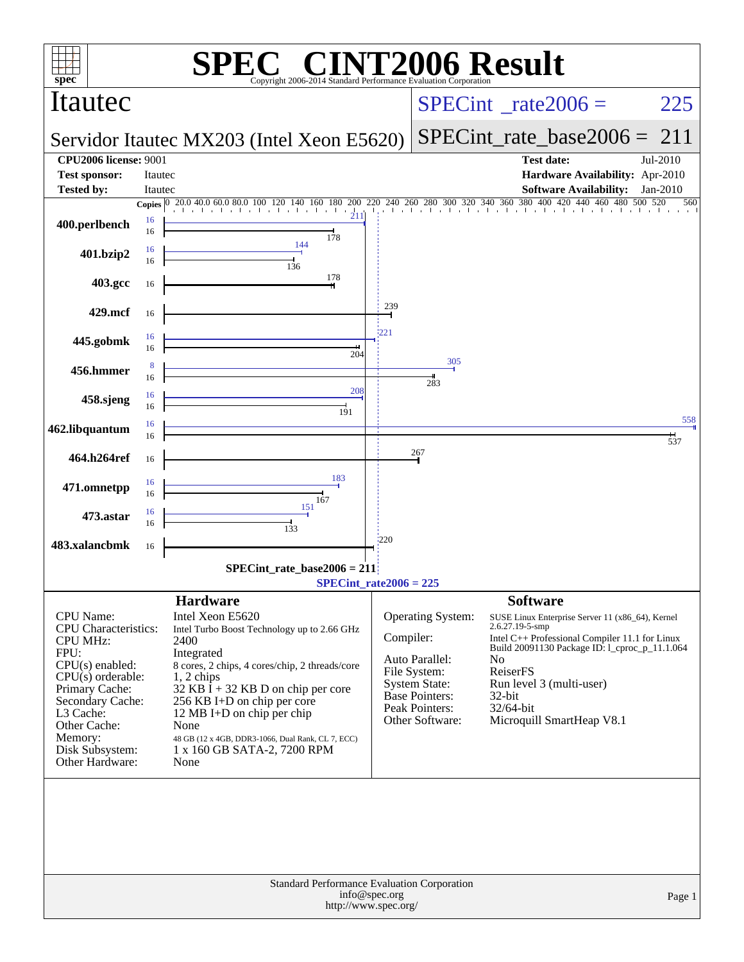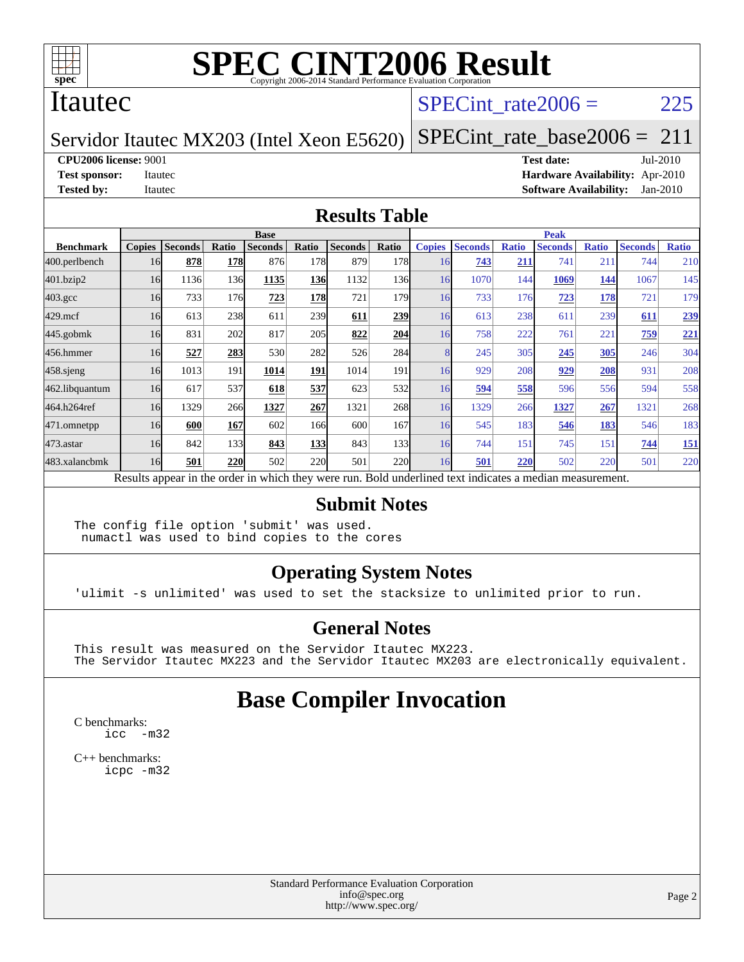

#### Itautec

#### SPECint rate $2006 = 225$

#### Servidor Itautec MX203 (Intel Xeon E5620)

[SPECint\\_rate\\_base2006 =](http://www.spec.org/auto/cpu2006/Docs/result-fields.html#SPECintratebase2006) 211

**[CPU2006 license:](http://www.spec.org/auto/cpu2006/Docs/result-fields.html#CPU2006license)** 9001 **[Test date:](http://www.spec.org/auto/cpu2006/Docs/result-fields.html#Testdate)** Jul-2010

**[Test sponsor:](http://www.spec.org/auto/cpu2006/Docs/result-fields.html#Testsponsor)** Itautec **[Hardware Availability:](http://www.spec.org/auto/cpu2006/Docs/result-fields.html#HardwareAvailability)** Apr-2010 **[Tested by:](http://www.spec.org/auto/cpu2006/Docs/result-fields.html#Testedby)** Itautec **[Software Availability:](http://www.spec.org/auto/cpu2006/Docs/result-fields.html#SoftwareAvailability)** Jan-2010

#### **[Results Table](http://www.spec.org/auto/cpu2006/Docs/result-fields.html#ResultsTable)**

|                  | <b>Base</b>   |                |       |                                                                                                          |            |                |                  | <b>Peak</b>   |                |              |                |              |                |              |
|------------------|---------------|----------------|-------|----------------------------------------------------------------------------------------------------------|------------|----------------|------------------|---------------|----------------|--------------|----------------|--------------|----------------|--------------|
| <b>Benchmark</b> | <b>Copies</b> | <b>Seconds</b> | Ratio | <b>Seconds</b>                                                                                           | Ratio      | <b>Seconds</b> | Ratio            | <b>Copies</b> | <b>Seconds</b> | <b>Ratio</b> | <b>Seconds</b> | <b>Ratio</b> | <b>Seconds</b> | <b>Ratio</b> |
| 400.perlbench    | 16            | 878            | 178   | 876                                                                                                      | 178        | 879            | 178              | 16            | 743            | 211          | 741            | 211          | 744            | 210          |
| 401.bzip2        | 16            | 1136           | 136   | 1135                                                                                                     | <b>136</b> | 1132           | 136 <sub>l</sub> | 16            | 1070           | 144          | 1069           | 144          | 1067           | 145          |
| $403.\text{gcc}$ | 16            | 733            | 176   | 723                                                                                                      | 178        | 721            | 179              | 16            | 733            | 176          | 723            | 178          | 721            | 179          |
| $429$ .mcf       | 16            | 613            | 238   | 611                                                                                                      | 239        | 611            | 239              | 16            | 613            | 238          | 611            | 239          | 611            | 239          |
| $445$ .gobm $k$  | 16            | 831            | 202   | 817                                                                                                      | 205        | 822            | 204              | 16            | 758            | 222          | 761            | 221          | 759            | 221          |
| 456.hmmer        | 16            | 527            | 283   | 530                                                                                                      | 282        | 526            | 284              |               | 245            | 305          | 245            | 305          | 246            | 304          |
| $458$ .sjeng     | 16            | 1013           | 191   | 1014                                                                                                     | 191        | 1014           | 191              | 16            | 929            | 208          | 929            | 208          | 931            | 208          |
| 462.libquantum   | 16            | 617            | 537   | 618                                                                                                      | 537        | 623            | 532              | 16            | 594            | 558          | 596            | 556          | 594            | 558          |
| 464.h264ref      | 16            | 1329           | 266   | 1327                                                                                                     | 267        | 1321           | 268              | 16            | 1329           | 266          | 1327           | 267          | 1321           | 268          |
| 471.omnetpp      | 16            | 600            | 167   | 602                                                                                                      | 166        | 600            | 167              | 16            | 545            | 183          | 546            | 183          | 546            | 183          |
| $473$ . astar    | 16            | 842            | 133   | 843                                                                                                      | <b>133</b> | 843            | 133              | 16            | 744            | 151          | 745            | 151          | 744            | <u>151</u>   |
| 483.xalancbmk    | 16            | 501            | 220   | 502                                                                                                      | <b>220</b> | 501            | 220              | 16            | 501            | 220          | 502            | 220          | 501            | 220          |
|                  |               |                |       | Results appear in the order in which they were run. Bold underlined text indicates a median measurement. |            |                |                  |               |                |              |                |              |                |              |

#### **[Submit Notes](http://www.spec.org/auto/cpu2006/Docs/result-fields.html#SubmitNotes)**

The config file option 'submit' was used. numactl was used to bind copies to the cores

#### **[Operating System Notes](http://www.spec.org/auto/cpu2006/Docs/result-fields.html#OperatingSystemNotes)**

'ulimit -s unlimited' was used to set the stacksize to unlimited prior to run.

#### **[General Notes](http://www.spec.org/auto/cpu2006/Docs/result-fields.html#GeneralNotes)**

This result was measured on the Servidor Itautec MX223. The Servidor Itautec MX223 and the Servidor Itautec MX203 are electronically equivalent.

### **[Base Compiler Invocation](http://www.spec.org/auto/cpu2006/Docs/result-fields.html#BaseCompilerInvocation)**

[C benchmarks](http://www.spec.org/auto/cpu2006/Docs/result-fields.html#Cbenchmarks): [icc -m32](http://www.spec.org/cpu2006/results/res2010q3/cpu2006-20100727-12694.flags.html#user_CCbase_intel_icc_32bit_5ff4a39e364c98233615fdd38438c6f2)

[C++ benchmarks:](http://www.spec.org/auto/cpu2006/Docs/result-fields.html#CXXbenchmarks) [icpc -m32](http://www.spec.org/cpu2006/results/res2010q3/cpu2006-20100727-12694.flags.html#user_CXXbase_intel_icpc_32bit_4e5a5ef1a53fd332b3c49e69c3330699)

> Standard Performance Evaluation Corporation [info@spec.org](mailto:info@spec.org) <http://www.spec.org/>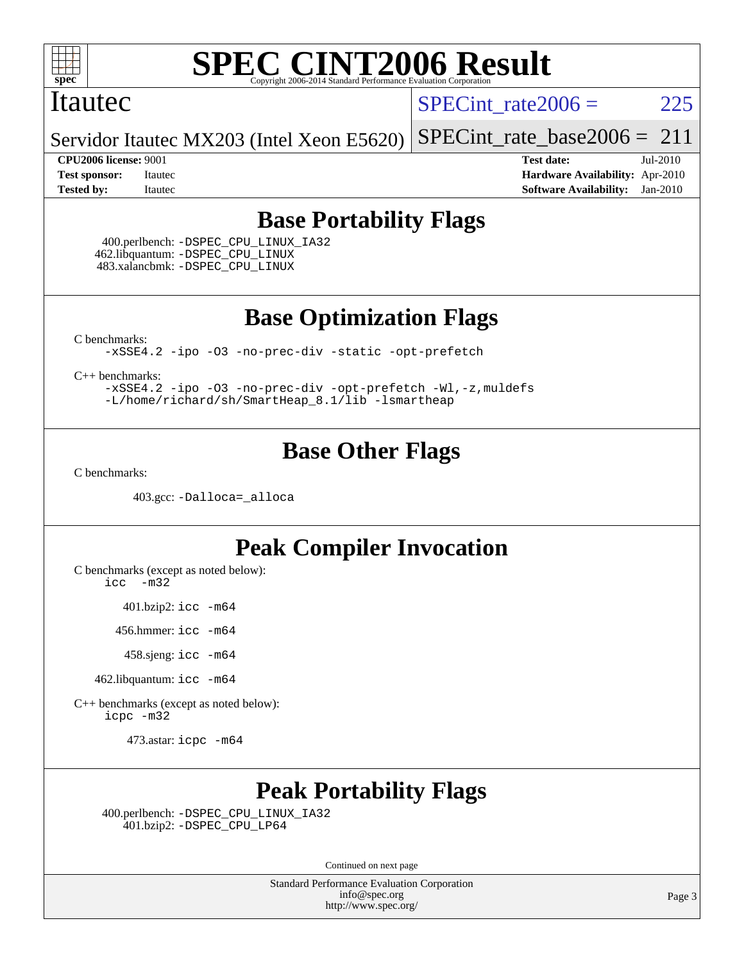

#### Itautec

SPECint rate $2006 = 225$ 

Servidor Itautec MX203 (Intel Xeon E5620) [SPECint\\_rate\\_base2006 =](http://www.spec.org/auto/cpu2006/Docs/result-fields.html#SPECintratebase2006)  $211$ 

**[CPU2006 license:](http://www.spec.org/auto/cpu2006/Docs/result-fields.html#CPU2006license)** 9001 **[Test date:](http://www.spec.org/auto/cpu2006/Docs/result-fields.html#Testdate)** Jul-2010 **[Test sponsor:](http://www.spec.org/auto/cpu2006/Docs/result-fields.html#Testsponsor)** Itautec **[Hardware Availability:](http://www.spec.org/auto/cpu2006/Docs/result-fields.html#HardwareAvailability)** Apr-2010 **[Tested by:](http://www.spec.org/auto/cpu2006/Docs/result-fields.html#Testedby)** Itautec **[Software Availability:](http://www.spec.org/auto/cpu2006/Docs/result-fields.html#SoftwareAvailability)** Jan-2010

### **[Base Portability Flags](http://www.spec.org/auto/cpu2006/Docs/result-fields.html#BasePortabilityFlags)**

 400.perlbench: [-DSPEC\\_CPU\\_LINUX\\_IA32](http://www.spec.org/cpu2006/results/res2010q3/cpu2006-20100727-12694.flags.html#b400.perlbench_baseCPORTABILITY_DSPEC_CPU_LINUX_IA32) 462.libquantum: [-DSPEC\\_CPU\\_LINUX](http://www.spec.org/cpu2006/results/res2010q3/cpu2006-20100727-12694.flags.html#b462.libquantum_baseCPORTABILITY_DSPEC_CPU_LINUX) 483.xalancbmk: [-DSPEC\\_CPU\\_LINUX](http://www.spec.org/cpu2006/results/res2010q3/cpu2006-20100727-12694.flags.html#b483.xalancbmk_baseCXXPORTABILITY_DSPEC_CPU_LINUX)

**[Base Optimization Flags](http://www.spec.org/auto/cpu2006/Docs/result-fields.html#BaseOptimizationFlags)**

[C benchmarks](http://www.spec.org/auto/cpu2006/Docs/result-fields.html#Cbenchmarks):

[-xSSE4.2](http://www.spec.org/cpu2006/results/res2010q3/cpu2006-20100727-12694.flags.html#user_CCbase_f-xSSE42_f91528193cf0b216347adb8b939d4107) [-ipo](http://www.spec.org/cpu2006/results/res2010q3/cpu2006-20100727-12694.flags.html#user_CCbase_f-ipo) [-O3](http://www.spec.org/cpu2006/results/res2010q3/cpu2006-20100727-12694.flags.html#user_CCbase_f-O3) [-no-prec-div](http://www.spec.org/cpu2006/results/res2010q3/cpu2006-20100727-12694.flags.html#user_CCbase_f-no-prec-div) [-static](http://www.spec.org/cpu2006/results/res2010q3/cpu2006-20100727-12694.flags.html#user_CCbase_f-static) [-opt-prefetch](http://www.spec.org/cpu2006/results/res2010q3/cpu2006-20100727-12694.flags.html#user_CCbase_f-opt-prefetch)

[C++ benchmarks:](http://www.spec.org/auto/cpu2006/Docs/result-fields.html#CXXbenchmarks)

[-xSSE4.2](http://www.spec.org/cpu2006/results/res2010q3/cpu2006-20100727-12694.flags.html#user_CXXbase_f-xSSE42_f91528193cf0b216347adb8b939d4107) [-ipo](http://www.spec.org/cpu2006/results/res2010q3/cpu2006-20100727-12694.flags.html#user_CXXbase_f-ipo) [-O3](http://www.spec.org/cpu2006/results/res2010q3/cpu2006-20100727-12694.flags.html#user_CXXbase_f-O3) [-no-prec-div](http://www.spec.org/cpu2006/results/res2010q3/cpu2006-20100727-12694.flags.html#user_CXXbase_f-no-prec-div) [-opt-prefetch](http://www.spec.org/cpu2006/results/res2010q3/cpu2006-20100727-12694.flags.html#user_CXXbase_f-opt-prefetch) [-Wl,-z,muldefs](http://www.spec.org/cpu2006/results/res2010q3/cpu2006-20100727-12694.flags.html#user_CXXbase_link_force_multiple1_74079c344b956b9658436fd1b6dd3a8a) [-L/home/richard/sh/SmartHeap\\_8.1/lib -lsmartheap](http://www.spec.org/cpu2006/results/res2010q3/cpu2006-20100727-12694.flags.html#user_CXXbase_SmartHeap_ca89174614665f48817f3d388ddc383c)

### **[Base Other Flags](http://www.spec.org/auto/cpu2006/Docs/result-fields.html#BaseOtherFlags)**

[C benchmarks](http://www.spec.org/auto/cpu2006/Docs/result-fields.html#Cbenchmarks):

403.gcc: [-Dalloca=\\_alloca](http://www.spec.org/cpu2006/results/res2010q3/cpu2006-20100727-12694.flags.html#b403.gcc_baseEXTRA_CFLAGS_Dalloca_be3056838c12de2578596ca5467af7f3)

### **[Peak Compiler Invocation](http://www.spec.org/auto/cpu2006/Docs/result-fields.html#PeakCompilerInvocation)**

[C benchmarks \(except as noted below\)](http://www.spec.org/auto/cpu2006/Docs/result-fields.html#Cbenchmarksexceptasnotedbelow):

[icc -m32](http://www.spec.org/cpu2006/results/res2010q3/cpu2006-20100727-12694.flags.html#user_CCpeak_intel_icc_32bit_5ff4a39e364c98233615fdd38438c6f2)

401.bzip2: [icc -m64](http://www.spec.org/cpu2006/results/res2010q3/cpu2006-20100727-12694.flags.html#user_peakCCLD401_bzip2_intel_icc_64bit_bda6cc9af1fdbb0edc3795bac97ada53)

456.hmmer: [icc -m64](http://www.spec.org/cpu2006/results/res2010q3/cpu2006-20100727-12694.flags.html#user_peakCCLD456_hmmer_intel_icc_64bit_bda6cc9af1fdbb0edc3795bac97ada53)

458.sjeng: [icc -m64](http://www.spec.org/cpu2006/results/res2010q3/cpu2006-20100727-12694.flags.html#user_peakCCLD458_sjeng_intel_icc_64bit_bda6cc9af1fdbb0edc3795bac97ada53)

462.libquantum: [icc -m64](http://www.spec.org/cpu2006/results/res2010q3/cpu2006-20100727-12694.flags.html#user_peakCCLD462_libquantum_intel_icc_64bit_bda6cc9af1fdbb0edc3795bac97ada53)

[C++ benchmarks \(except as noted below\):](http://www.spec.org/auto/cpu2006/Docs/result-fields.html#CXXbenchmarksexceptasnotedbelow) [icpc -m32](http://www.spec.org/cpu2006/results/res2010q3/cpu2006-20100727-12694.flags.html#user_CXXpeak_intel_icpc_32bit_4e5a5ef1a53fd332b3c49e69c3330699)

473.astar: [icpc -m64](http://www.spec.org/cpu2006/results/res2010q3/cpu2006-20100727-12694.flags.html#user_peakCXXLD473_astar_intel_icpc_64bit_fc66a5337ce925472a5c54ad6a0de310)

## **[Peak Portability Flags](http://www.spec.org/auto/cpu2006/Docs/result-fields.html#PeakPortabilityFlags)**

 400.perlbench: [-DSPEC\\_CPU\\_LINUX\\_IA32](http://www.spec.org/cpu2006/results/res2010q3/cpu2006-20100727-12694.flags.html#b400.perlbench_peakCPORTABILITY_DSPEC_CPU_LINUX_IA32) 401.bzip2: [-DSPEC\\_CPU\\_LP64](http://www.spec.org/cpu2006/results/res2010q3/cpu2006-20100727-12694.flags.html#suite_peakCPORTABILITY401_bzip2_DSPEC_CPU_LP64)

Continued on next page

Standard Performance Evaluation Corporation [info@spec.org](mailto:info@spec.org) <http://www.spec.org/>

Page 3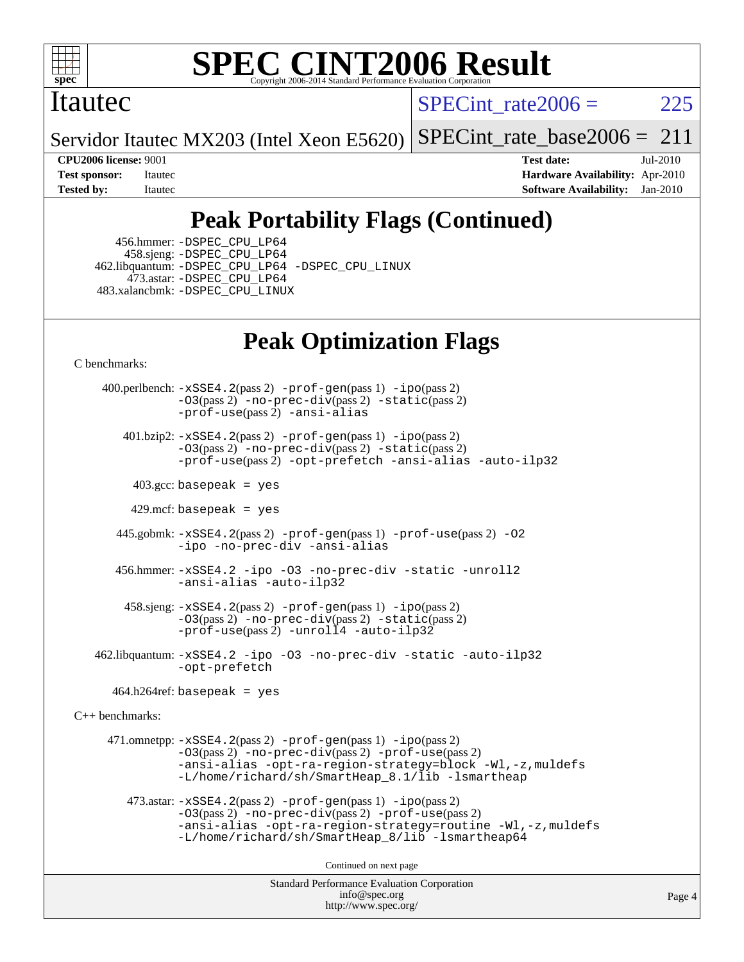

#### Itautec

SPECint rate $2006 = 225$ 

Servidor Itautec MX203 (Intel Xeon E5620) [SPECint\\_rate\\_base2006 =](http://www.spec.org/auto/cpu2006/Docs/result-fields.html#SPECintratebase2006)  $211$ 

**[CPU2006 license:](http://www.spec.org/auto/cpu2006/Docs/result-fields.html#CPU2006license)** 9001 **[Test date:](http://www.spec.org/auto/cpu2006/Docs/result-fields.html#Testdate)** Jul-2010 **[Test sponsor:](http://www.spec.org/auto/cpu2006/Docs/result-fields.html#Testsponsor)** Itautec **[Hardware Availability:](http://www.spec.org/auto/cpu2006/Docs/result-fields.html#HardwareAvailability)** Apr-2010 **[Tested by:](http://www.spec.org/auto/cpu2006/Docs/result-fields.html#Testedby)** Itautec **[Software Availability:](http://www.spec.org/auto/cpu2006/Docs/result-fields.html#SoftwareAvailability)** Jan-2010

# **[Peak Portability Flags \(Continued\)](http://www.spec.org/auto/cpu2006/Docs/result-fields.html#PeakPortabilityFlags)**

 456.hmmer: [-DSPEC\\_CPU\\_LP64](http://www.spec.org/cpu2006/results/res2010q3/cpu2006-20100727-12694.flags.html#suite_peakCPORTABILITY456_hmmer_DSPEC_CPU_LP64) 458.sjeng: [-DSPEC\\_CPU\\_LP64](http://www.spec.org/cpu2006/results/res2010q3/cpu2006-20100727-12694.flags.html#suite_peakCPORTABILITY458_sjeng_DSPEC_CPU_LP64) 462.libquantum: [-DSPEC\\_CPU\\_LP64](http://www.spec.org/cpu2006/results/res2010q3/cpu2006-20100727-12694.flags.html#suite_peakCPORTABILITY462_libquantum_DSPEC_CPU_LP64) [-DSPEC\\_CPU\\_LINUX](http://www.spec.org/cpu2006/results/res2010q3/cpu2006-20100727-12694.flags.html#b462.libquantum_peakCPORTABILITY_DSPEC_CPU_LINUX) 473.astar: [-DSPEC\\_CPU\\_LP64](http://www.spec.org/cpu2006/results/res2010q3/cpu2006-20100727-12694.flags.html#suite_peakCXXPORTABILITY473_astar_DSPEC_CPU_LP64) 483.xalancbmk: [-DSPEC\\_CPU\\_LINUX](http://www.spec.org/cpu2006/results/res2010q3/cpu2006-20100727-12694.flags.html#b483.xalancbmk_peakCXXPORTABILITY_DSPEC_CPU_LINUX)

# **[Peak Optimization Flags](http://www.spec.org/auto/cpu2006/Docs/result-fields.html#PeakOptimizationFlags)**

[C benchmarks](http://www.spec.org/auto/cpu2006/Docs/result-fields.html#Cbenchmarks):

Standard Performance Evaluation Corporation [info@spec.org](mailto:info@spec.org) Page 4 400.perlbench: [-xSSE4.2](http://www.spec.org/cpu2006/results/res2010q3/cpu2006-20100727-12694.flags.html#user_peakPASS2_CFLAGSPASS2_LDCFLAGS400_perlbench_f-xSSE42_f91528193cf0b216347adb8b939d4107)(pass 2) [-prof-gen](http://www.spec.org/cpu2006/results/res2010q3/cpu2006-20100727-12694.flags.html#user_peakPASS1_CFLAGSPASS1_LDCFLAGS400_perlbench_prof_gen_e43856698f6ca7b7e442dfd80e94a8fc)(pass 1) [-ipo](http://www.spec.org/cpu2006/results/res2010q3/cpu2006-20100727-12694.flags.html#user_peakPASS2_CFLAGSPASS2_LDCFLAGS400_perlbench_f-ipo)(pass 2)  $-03$ (pass 2)  $-$ no-prec-div(pass 2)  $-$ static(pass 2) [-prof-use](http://www.spec.org/cpu2006/results/res2010q3/cpu2006-20100727-12694.flags.html#user_peakPASS2_CFLAGSPASS2_LDCFLAGS400_perlbench_prof_use_bccf7792157ff70d64e32fe3e1250b55)(pass 2) [-ansi-alias](http://www.spec.org/cpu2006/results/res2010q3/cpu2006-20100727-12694.flags.html#user_peakCOPTIMIZE400_perlbench_f-ansi-alias) 401.bzip2: [-xSSE4.2](http://www.spec.org/cpu2006/results/res2010q3/cpu2006-20100727-12694.flags.html#user_peakPASS2_CFLAGSPASS2_LDCFLAGS401_bzip2_f-xSSE42_f91528193cf0b216347adb8b939d4107)(pass 2) [-prof-gen](http://www.spec.org/cpu2006/results/res2010q3/cpu2006-20100727-12694.flags.html#user_peakPASS1_CFLAGSPASS1_LDCFLAGS401_bzip2_prof_gen_e43856698f6ca7b7e442dfd80e94a8fc)(pass 1) [-ipo](http://www.spec.org/cpu2006/results/res2010q3/cpu2006-20100727-12694.flags.html#user_peakPASS2_CFLAGSPASS2_LDCFLAGS401_bzip2_f-ipo)(pass 2) [-O3](http://www.spec.org/cpu2006/results/res2010q3/cpu2006-20100727-12694.flags.html#user_peakPASS2_CFLAGSPASS2_LDCFLAGS401_bzip2_f-O3)(pass 2) [-no-prec-div](http://www.spec.org/cpu2006/results/res2010q3/cpu2006-20100727-12694.flags.html#user_peakPASS2_CFLAGSPASS2_LDCFLAGS401_bzip2_f-no-prec-div)(pass 2) [-static](http://www.spec.org/cpu2006/results/res2010q3/cpu2006-20100727-12694.flags.html#user_peakPASS2_CFLAGSPASS2_LDCFLAGS401_bzip2_f-static)(pass 2) [-prof-use](http://www.spec.org/cpu2006/results/res2010q3/cpu2006-20100727-12694.flags.html#user_peakPASS2_CFLAGSPASS2_LDCFLAGS401_bzip2_prof_use_bccf7792157ff70d64e32fe3e1250b55)(pass 2) [-opt-prefetch](http://www.spec.org/cpu2006/results/res2010q3/cpu2006-20100727-12694.flags.html#user_peakCOPTIMIZE401_bzip2_f-opt-prefetch) [-ansi-alias](http://www.spec.org/cpu2006/results/res2010q3/cpu2006-20100727-12694.flags.html#user_peakCOPTIMIZE401_bzip2_f-ansi-alias) [-auto-ilp32](http://www.spec.org/cpu2006/results/res2010q3/cpu2006-20100727-12694.flags.html#user_peakCOPTIMIZE401_bzip2_f-auto-ilp32)  $403.\text{gcc: basepeak}$  = yes  $429$ .mcf: basepeak = yes 445.gobmk: [-xSSE4.2](http://www.spec.org/cpu2006/results/res2010q3/cpu2006-20100727-12694.flags.html#user_peakPASS2_CFLAGSPASS2_LDCFLAGS445_gobmk_f-xSSE42_f91528193cf0b216347adb8b939d4107)(pass 2) [-prof-gen](http://www.spec.org/cpu2006/results/res2010q3/cpu2006-20100727-12694.flags.html#user_peakPASS1_CFLAGSPASS1_LDCFLAGS445_gobmk_prof_gen_e43856698f6ca7b7e442dfd80e94a8fc)(pass 1) [-prof-use](http://www.spec.org/cpu2006/results/res2010q3/cpu2006-20100727-12694.flags.html#user_peakPASS2_CFLAGSPASS2_LDCFLAGS445_gobmk_prof_use_bccf7792157ff70d64e32fe3e1250b55)(pass 2) [-O2](http://www.spec.org/cpu2006/results/res2010q3/cpu2006-20100727-12694.flags.html#user_peakCOPTIMIZE445_gobmk_f-O2) [-ipo](http://www.spec.org/cpu2006/results/res2010q3/cpu2006-20100727-12694.flags.html#user_peakCOPTIMIZE445_gobmk_f-ipo) [-no-prec-div](http://www.spec.org/cpu2006/results/res2010q3/cpu2006-20100727-12694.flags.html#user_peakCOPTIMIZE445_gobmk_f-no-prec-div) [-ansi-alias](http://www.spec.org/cpu2006/results/res2010q3/cpu2006-20100727-12694.flags.html#user_peakCOPTIMIZE445_gobmk_f-ansi-alias) 456.hmmer: [-xSSE4.2](http://www.spec.org/cpu2006/results/res2010q3/cpu2006-20100727-12694.flags.html#user_peakCOPTIMIZE456_hmmer_f-xSSE42_f91528193cf0b216347adb8b939d4107) [-ipo](http://www.spec.org/cpu2006/results/res2010q3/cpu2006-20100727-12694.flags.html#user_peakCOPTIMIZE456_hmmer_f-ipo) [-O3](http://www.spec.org/cpu2006/results/res2010q3/cpu2006-20100727-12694.flags.html#user_peakCOPTIMIZE456_hmmer_f-O3) [-no-prec-div](http://www.spec.org/cpu2006/results/res2010q3/cpu2006-20100727-12694.flags.html#user_peakCOPTIMIZE456_hmmer_f-no-prec-div) [-static](http://www.spec.org/cpu2006/results/res2010q3/cpu2006-20100727-12694.flags.html#user_peakCOPTIMIZE456_hmmer_f-static) [-unroll2](http://www.spec.org/cpu2006/results/res2010q3/cpu2006-20100727-12694.flags.html#user_peakCOPTIMIZE456_hmmer_f-unroll_784dae83bebfb236979b41d2422d7ec2) [-ansi-alias](http://www.spec.org/cpu2006/results/res2010q3/cpu2006-20100727-12694.flags.html#user_peakCOPTIMIZE456_hmmer_f-ansi-alias) [-auto-ilp32](http://www.spec.org/cpu2006/results/res2010q3/cpu2006-20100727-12694.flags.html#user_peakCOPTIMIZE456_hmmer_f-auto-ilp32) 458.sjeng: [-xSSE4.2](http://www.spec.org/cpu2006/results/res2010q3/cpu2006-20100727-12694.flags.html#user_peakPASS2_CFLAGSPASS2_LDCFLAGS458_sjeng_f-xSSE42_f91528193cf0b216347adb8b939d4107)(pass 2) [-prof-gen](http://www.spec.org/cpu2006/results/res2010q3/cpu2006-20100727-12694.flags.html#user_peakPASS1_CFLAGSPASS1_LDCFLAGS458_sjeng_prof_gen_e43856698f6ca7b7e442dfd80e94a8fc)(pass 1) [-ipo](http://www.spec.org/cpu2006/results/res2010q3/cpu2006-20100727-12694.flags.html#user_peakPASS2_CFLAGSPASS2_LDCFLAGS458_sjeng_f-ipo)(pass 2) [-O3](http://www.spec.org/cpu2006/results/res2010q3/cpu2006-20100727-12694.flags.html#user_peakPASS2_CFLAGSPASS2_LDCFLAGS458_sjeng_f-O3)(pass 2) [-no-prec-div](http://www.spec.org/cpu2006/results/res2010q3/cpu2006-20100727-12694.flags.html#user_peakPASS2_CFLAGSPASS2_LDCFLAGS458_sjeng_f-no-prec-div)(pass 2) [-static](http://www.spec.org/cpu2006/results/res2010q3/cpu2006-20100727-12694.flags.html#user_peakPASS2_CFLAGSPASS2_LDCFLAGS458_sjeng_f-static)(pass 2) [-prof-use](http://www.spec.org/cpu2006/results/res2010q3/cpu2006-20100727-12694.flags.html#user_peakPASS2_CFLAGSPASS2_LDCFLAGS458_sjeng_prof_use_bccf7792157ff70d64e32fe3e1250b55)(pass 2) [-unroll4](http://www.spec.org/cpu2006/results/res2010q3/cpu2006-20100727-12694.flags.html#user_peakCOPTIMIZE458_sjeng_f-unroll_4e5e4ed65b7fd20bdcd365bec371b81f) [-auto-ilp32](http://www.spec.org/cpu2006/results/res2010q3/cpu2006-20100727-12694.flags.html#user_peakCOPTIMIZE458_sjeng_f-auto-ilp32) 462.libquantum: [-xSSE4.2](http://www.spec.org/cpu2006/results/res2010q3/cpu2006-20100727-12694.flags.html#user_peakCOPTIMIZE462_libquantum_f-xSSE42_f91528193cf0b216347adb8b939d4107) [-ipo](http://www.spec.org/cpu2006/results/res2010q3/cpu2006-20100727-12694.flags.html#user_peakCOPTIMIZE462_libquantum_f-ipo) [-O3](http://www.spec.org/cpu2006/results/res2010q3/cpu2006-20100727-12694.flags.html#user_peakCOPTIMIZE462_libquantum_f-O3) [-no-prec-div](http://www.spec.org/cpu2006/results/res2010q3/cpu2006-20100727-12694.flags.html#user_peakCOPTIMIZE462_libquantum_f-no-prec-div) [-static](http://www.spec.org/cpu2006/results/res2010q3/cpu2006-20100727-12694.flags.html#user_peakCOPTIMIZE462_libquantum_f-static) [-auto-ilp32](http://www.spec.org/cpu2006/results/res2010q3/cpu2006-20100727-12694.flags.html#user_peakCOPTIMIZE462_libquantum_f-auto-ilp32) [-opt-prefetch](http://www.spec.org/cpu2006/results/res2010q3/cpu2006-20100727-12694.flags.html#user_peakCOPTIMIZE462_libquantum_f-opt-prefetch)  $464.h264$ ref: basepeak = yes [C++ benchmarks:](http://www.spec.org/auto/cpu2006/Docs/result-fields.html#CXXbenchmarks) 471.omnetpp:  $-xSSE4$ . 2(pass 2)  $-prof-qen(pass 1) -ipo(pass 2)$  $-prof-qen(pass 1) -ipo(pass 2)$  $-prof-qen(pass 1) -ipo(pass 2)$ [-O3](http://www.spec.org/cpu2006/results/res2010q3/cpu2006-20100727-12694.flags.html#user_peakPASS2_CXXFLAGSPASS2_LDCXXFLAGS471_omnetpp_f-O3)(pass 2) [-no-prec-div](http://www.spec.org/cpu2006/results/res2010q3/cpu2006-20100727-12694.flags.html#user_peakPASS2_CXXFLAGSPASS2_LDCXXFLAGS471_omnetpp_f-no-prec-div)(pass 2) [-prof-use](http://www.spec.org/cpu2006/results/res2010q3/cpu2006-20100727-12694.flags.html#user_peakPASS2_CXXFLAGSPASS2_LDCXXFLAGS471_omnetpp_prof_use_bccf7792157ff70d64e32fe3e1250b55)(pass 2) [-ansi-alias](http://www.spec.org/cpu2006/results/res2010q3/cpu2006-20100727-12694.flags.html#user_peakCXXOPTIMIZE471_omnetpp_f-ansi-alias) [-opt-ra-region-strategy=block](http://www.spec.org/cpu2006/results/res2010q3/cpu2006-20100727-12694.flags.html#user_peakCXXOPTIMIZE471_omnetpp_f-opt-ra-region-strategy-block_a0a37c372d03933b2a18d4af463c1f69) [-Wl,-z,muldefs](http://www.spec.org/cpu2006/results/res2010q3/cpu2006-20100727-12694.flags.html#user_peakEXTRA_LDFLAGS471_omnetpp_link_force_multiple1_74079c344b956b9658436fd1b6dd3a8a) [-L/home/richard/sh/SmartHeap\\_8.1/lib -lsmartheap](http://www.spec.org/cpu2006/results/res2010q3/cpu2006-20100727-12694.flags.html#user_peakEXTRA_LIBS471_omnetpp_SmartHeap_ca89174614665f48817f3d388ddc383c) 473.astar: [-xSSE4.2](http://www.spec.org/cpu2006/results/res2010q3/cpu2006-20100727-12694.flags.html#user_peakPASS2_CXXFLAGSPASS2_LDCXXFLAGS473_astar_f-xSSE42_f91528193cf0b216347adb8b939d4107)(pass 2) [-prof-gen](http://www.spec.org/cpu2006/results/res2010q3/cpu2006-20100727-12694.flags.html#user_peakPASS1_CXXFLAGSPASS1_LDCXXFLAGS473_astar_prof_gen_e43856698f6ca7b7e442dfd80e94a8fc)(pass 1) [-ipo](http://www.spec.org/cpu2006/results/res2010q3/cpu2006-20100727-12694.flags.html#user_peakPASS2_CXXFLAGSPASS2_LDCXXFLAGS473_astar_f-ipo)(pass 2) [-O3](http://www.spec.org/cpu2006/results/res2010q3/cpu2006-20100727-12694.flags.html#user_peakPASS2_CXXFLAGSPASS2_LDCXXFLAGS473_astar_f-O3)(pass 2) [-no-prec-div](http://www.spec.org/cpu2006/results/res2010q3/cpu2006-20100727-12694.flags.html#user_peakPASS2_CXXFLAGSPASS2_LDCXXFLAGS473_astar_f-no-prec-div)(pass 2) [-prof-use](http://www.spec.org/cpu2006/results/res2010q3/cpu2006-20100727-12694.flags.html#user_peakPASS2_CXXFLAGSPASS2_LDCXXFLAGS473_astar_prof_use_bccf7792157ff70d64e32fe3e1250b55)(pass 2) [-ansi-alias](http://www.spec.org/cpu2006/results/res2010q3/cpu2006-20100727-12694.flags.html#user_peakCXXOPTIMIZE473_astar_f-ansi-alias) [-opt-ra-region-strategy=routine](http://www.spec.org/cpu2006/results/res2010q3/cpu2006-20100727-12694.flags.html#user_peakCXXOPTIMIZE473_astar_f-opt-ra-region-strategy-routine_ba086ea3b1d46a52e1238e2ca173ed44) [-Wl,-z,muldefs](http://www.spec.org/cpu2006/results/res2010q3/cpu2006-20100727-12694.flags.html#user_peakEXTRA_LDFLAGS473_astar_link_force_multiple1_74079c344b956b9658436fd1b6dd3a8a) [-L/home/richard/sh/SmartHeap\\_8/lib -lsmartheap64](http://www.spec.org/cpu2006/results/res2010q3/cpu2006-20100727-12694.flags.html#user_peakEXTRA_LIBS473_astar_SmartHeap64_6dcf82733cc900f52a62ba8d71f5b4d0) Continued on next page

<http://www.spec.org/>